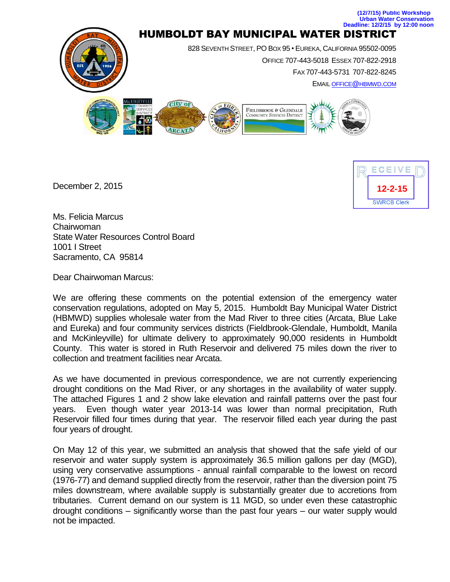

December 2, 2015



Ms. Felicia Marcus Chairwoman State Water Resources Control Board 1001 I Street Sacramento, CA 95814

Dear Chairwoman Marcus:

We are offering these comments on the potential extension of the emergency water conservation regulations, adopted on May 5, 2015. Humboldt Bay Municipal Water District (HBMWD) supplies wholesale water from the Mad River to three cities (Arcata, Blue Lake and Eureka) and four community services districts (Fieldbrook-Glendale, Humboldt, Manila and McKinleyville) for ultimate delivery to approximately 90,000 residents in Humboldt County. This water is stored in Ruth Reservoir and delivered 75 miles down the river to collection and treatment facilities near Arcata.

As we have documented in previous correspondence, we are not currently experiencing drought conditions on the Mad River, or any shortages in the availability of water supply. The attached Figures 1 and 2 show lake elevation and rainfall patterns over the past four years. Even though water year 2013-14 was lower than normal precipitation, Ruth Reservoir filled four times during that year. The reservoir filled each year during the past four years of drought.

On May 12 of this year, we submitted an analysis that showed that the safe yield of our reservoir and water supply system is approximately 36.5 million gallons per day (MGD), using very conservative assumptions - annual rainfall comparable to the lowest on record (1976-77) and demand supplied directly from the reservoir, rather than the diversion point 75 miles downstream, where available supply is substantially greater due to accretions from tributaries. Current demand on our system is 11 MGD, so under even these catastrophic drought conditions – significantly worse than the past four years – our water supply would not be impacted.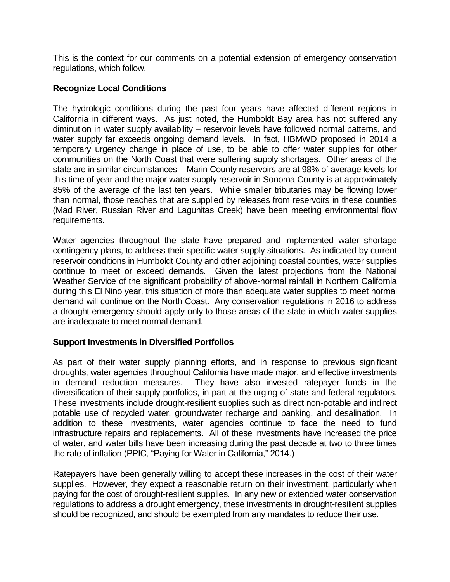This is the context for our comments on a potential extension of emergency conservation regulations, which follow.

## **Recognize Local Conditions**

The hydrologic conditions during the past four years have affected different regions in California in different ways. As just noted, the Humboldt Bay area has not suffered any diminution in water supply availability – reservoir levels have followed normal patterns, and water supply far exceeds ongoing demand levels. In fact, HBMWD proposed in 2014 a temporary urgency change in place of use, to be able to offer water supplies for other communities on the North Coast that were suffering supply shortages. Other areas of the state are in similar circumstances – Marin County reservoirs are at 98% of average levels for this time of year and the major water supply reservoir in Sonoma County is at approximately 85% of the average of the last ten years. While smaller tributaries may be flowing lower than normal, those reaches that are supplied by releases from reservoirs in these counties (Mad River, Russian River and Lagunitas Creek) have been meeting environmental flow requirements.

Water agencies throughout the state have prepared and implemented water shortage contingency plans, to address their specific water supply situations. As indicated by current reservoir conditions in Humboldt County and other adjoining coastal counties, water supplies continue to meet or exceed demands. Given the latest projections from the National Weather Service of the significant probability of above-normal rainfall in Northern California during this El Nino year, this situation of more than adequate water supplies to meet normal demand will continue on the North Coast. Any conservation regulations in 2016 to address a drought emergency should apply only to those areas of the state in which water supplies are inadequate to meet normal demand.

## **Support Investments in Diversified Portfolios**

As part of their water supply planning efforts, and in response to previous significant droughts, water agencies throughout California have made major, and effective investments in demand reduction measures. They have also invested ratepayer funds in the diversification of their supply portfolios, in part at the urging of state and federal regulators. These investments include drought-resilient supplies such as direct non-potable and indirect potable use of recycled water, groundwater recharge and banking, and desalination. In addition to these investments, water agencies continue to face the need to fund infrastructure repairs and replacements. All of these investments have increased the price of water, and water bills have been increasing during the past decade at two to three times the rate of inflation (PPIC, "Paying for Water in California," 2014.)

Ratepayers have been generally willing to accept these increases in the cost of their water supplies. However, they expect a reasonable return on their investment, particularly when paying for the cost of drought-resilient supplies. In any new or extended water conservation regulations to address a drought emergency, these investments in drought-resilient supplies should be recognized, and should be exempted from any mandates to reduce their use.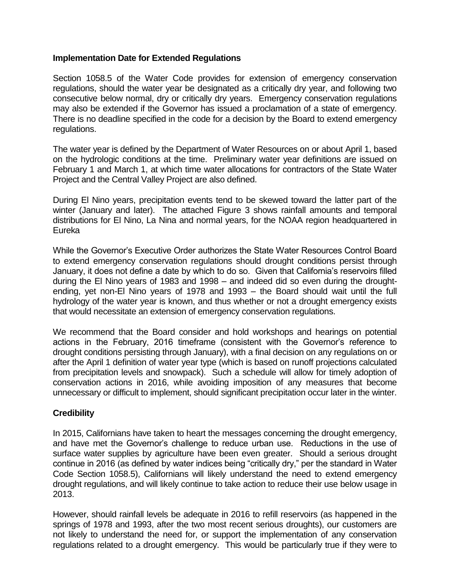## **Implementation Date for Extended Regulations**

Section 1058.5 of the Water Code provides for extension of emergency conservation regulations, should the water year be designated as a critically dry year, and following two consecutive below normal, dry or critically dry years. Emergency conservation regulations may also be extended if the Governor has issued a proclamation of a state of emergency. There is no deadline specified in the code for a decision by the Board to extend emergency regulations.

The water year is defined by the Department of Water Resources on or about April 1, based on the hydrologic conditions at the time. Preliminary water year definitions are issued on February 1 and March 1, at which time water allocations for contractors of the State Water Project and the Central Valley Project are also defined.

During El Nino years, precipitation events tend to be skewed toward the latter part of the winter (January and later). The attached Figure 3 shows rainfall amounts and temporal distributions for El Nino, La Nina and normal years, for the NOAA region headquartered in Eureka

While the Governor's Executive Order authorizes the State Water Resources Control Board to extend emergency conservation regulations should drought conditions persist through January, it does not define a date by which to do so. Given that California's reservoirs filled during the El Nino years of 1983 and 1998 – and indeed did so even during the droughtending, yet non-El Nino years of 1978 and 1993 – the Board should wait until the full hydrology of the water year is known, and thus whether or not a drought emergency exists that would necessitate an extension of emergency conservation regulations.

We recommend that the Board consider and hold workshops and hearings on potential actions in the February, 2016 timeframe (consistent with the Governor's reference to drought conditions persisting through January), with a final decision on any regulations on or after the April 1 definition of water year type (which is based on runoff projections calculated from precipitation levels and snowpack). Such a schedule will allow for timely adoption of conservation actions in 2016, while avoiding imposition of any measures that become unnecessary or difficult to implement, should significant precipitation occur later in the winter.

## **Credibility**

In 2015, Californians have taken to heart the messages concerning the drought emergency, and have met the Governor's challenge to reduce urban use. Reductions in the use of surface water supplies by agriculture have been even greater. Should a serious drought continue in 2016 (as defined by water indices being "critically dry," per the standard in Water Code Section 1058.5), Californians will likely understand the need to extend emergency drought regulations, and will likely continue to take action to reduce their use below usage in 2013.

However, should rainfall levels be adequate in 2016 to refill reservoirs (as happened in the springs of 1978 and 1993, after the two most recent serious droughts), our customers are not likely to understand the need for, or support the implementation of any conservation regulations related to a drought emergency. This would be particularly true if they were to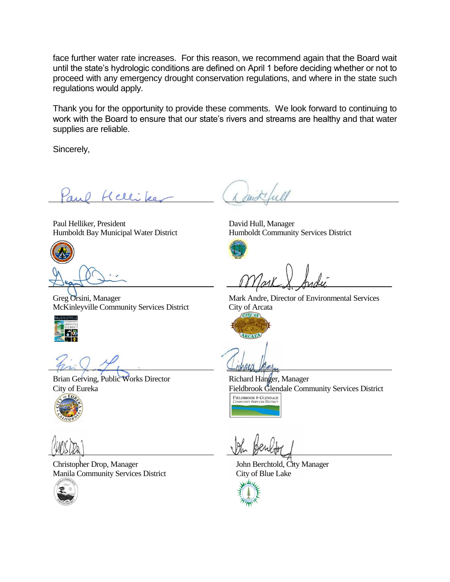face further water rate increases. For this reason, we recommend again that the Board wait until the state's hydrologic conditions are defined on April 1 before deciding whether or not to proceed with any emergency drought conservation regulations, and where in the state such regulations would apply.

Thank you for the opportunity to provide these comments. We look forward to continuing to work with the Board to ensure that our state's rivers and streams are healthy and that water supplies are reliable.

Sincerely,

Paul Hellike

Paul Helliker, President Humboldt Bay Municipal Water District



Greg Orsini, Manager McKinleyville Community Services District



Brian Gerving, Public Works Director City of Eureka



Christopher Drop, Manager Manila Community Services District



David Hull, Manager Humboldt Community Services District



Mark Andre, Director of Environmental Services City of Arcata



Richard Hanger, Manager Fieldbrook Glendale Community Services District FIELDBROOK & GLENDALE<br>COMMUNITY SERVICES DISTRICT

John Berchtold, City Manager City of Blue Lake

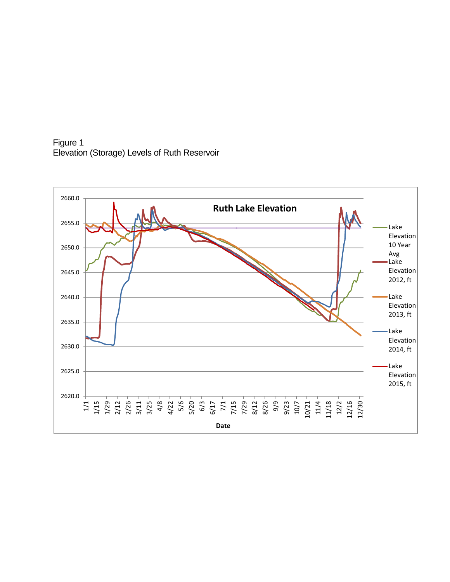Figure 1 Elevation (Storage) Levels of Ruth Reservoir

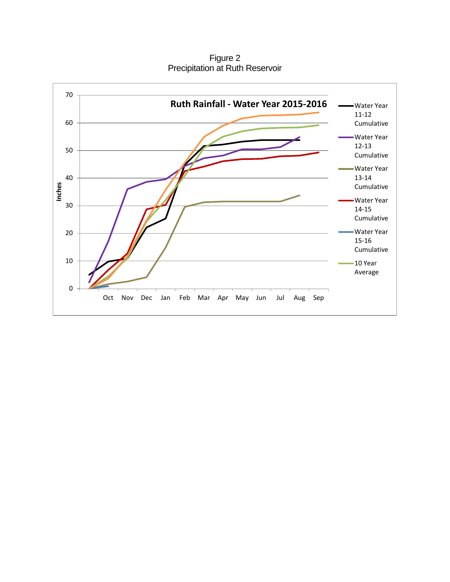Figure 2 Precipitation at Ruth Reservoir